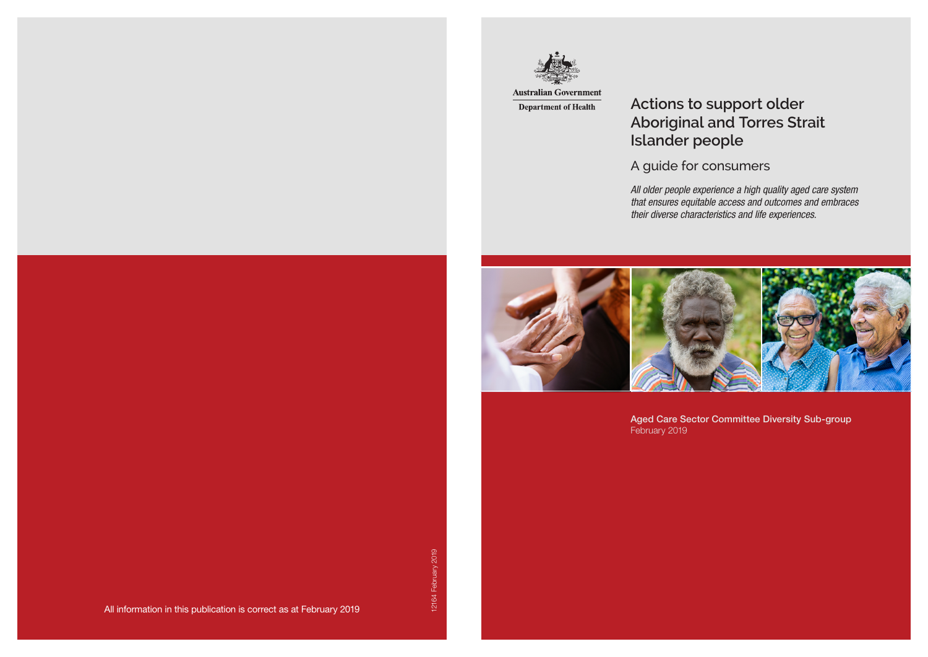

**Australian Government Department of Health** 

All information in this publication is correct as at February 2019

*All older people experience a high quality aged care system that ensures equitable access and outcomes and embraces their diverse characteristics and life experiences.*



Aged Care Sector Committee Diversity Sub-group

February 2019

# **Actions to support older Aboriginal and Torres Strait Islander people**

A guide for consumers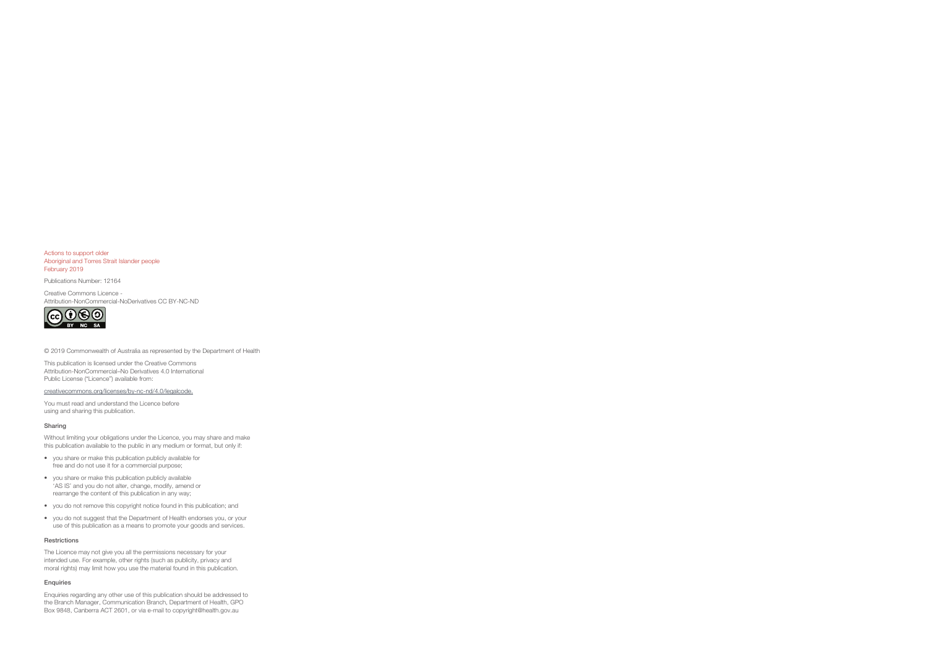Actions to support older Aboriginal and Torres Strait Islander people February 2019

Publications Number: 12164

Creative Commons Licence - Attribution-NonCommercial-NoDerivatives CC BY-NC-ND



© 2019 Commonwealth of Australia as represented by the Department of Health

This publication is licensed under the Creative Commons Attribution-NonCommercial–No Derivatives 4.0 International Public License ("Licence") available from:

creativecommons.org/licenses/by-nc-nd/4.0/legalcode.

You must read and understand the Licence before using and sharing this publication.

#### Sharing

Without limiting your obligations under the Licence, you may share and make this publication available to the public in any medium or format, but only if:

- you share or make this publication publicly available for free and do not use it for a commercial purpose;
- you share or make this publication publicly available 'AS IS' and you do not alter, change, modify, amend or rearrange the content of this publication in any way;
- you do not remove this copyright notice found in this publication; and
- you do not suggest that the Department of Health endorses you, or your use of this publication as a means to promote your goods and services.

#### Restrictions

The Licence may not give you all the permissions necessary for your intended use. For example, other rights (such as publicity, privacy and moral rights) may limit how you use the material found in this publication.

#### Enquiries

Enquiries regarding any other use of this publication should be addressed to the Branch Manager, Communication Branch, Department of Health, GPO Box 9848, Canberra ACT 2601, or via e-mail to copyright@health.gov.au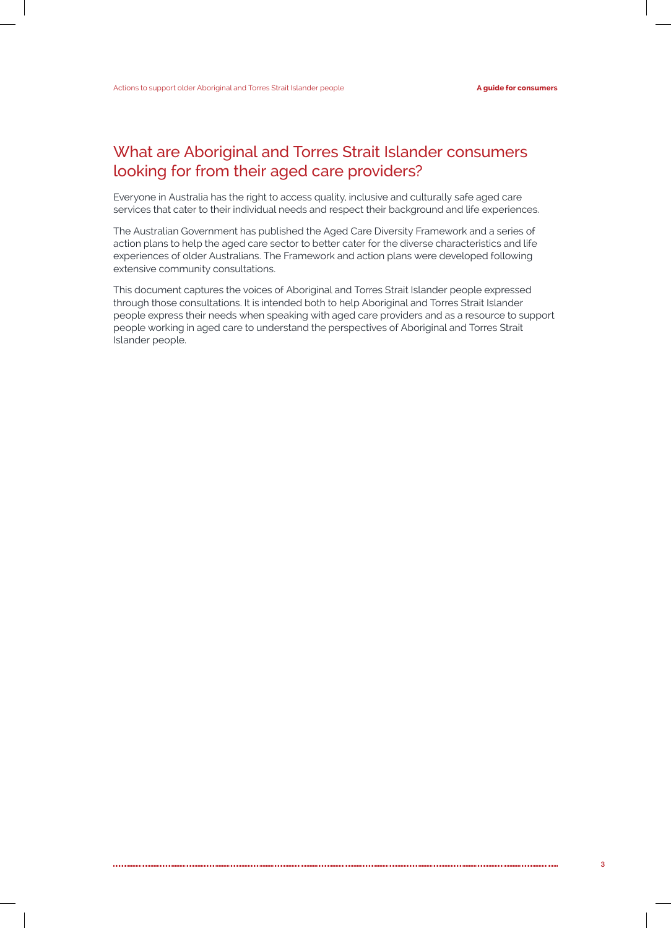## What are Aboriginal and Torres Strait Islander consumers looking for from their aged care providers?

Everyone in Australia has the right to access quality, inclusive and culturally safe aged care services that cater to their individual needs and respect their background and life experiences.

The Australian Government has published the Aged Care Diversity Framework and a series of action plans to help the aged care sector to better cater for the diverse characteristics and life experiences of older Australians. The Framework and action plans were developed following extensive community consultations.

This document captures the voices of Aboriginal and Torres Strait Islander people expressed through those consultations. It is intended both to help Aboriginal and Torres Strait Islander people express their needs when speaking with aged care providers and as a resource to support people working in aged care to understand the perspectives of Aboriginal and Torres Strait Islander people.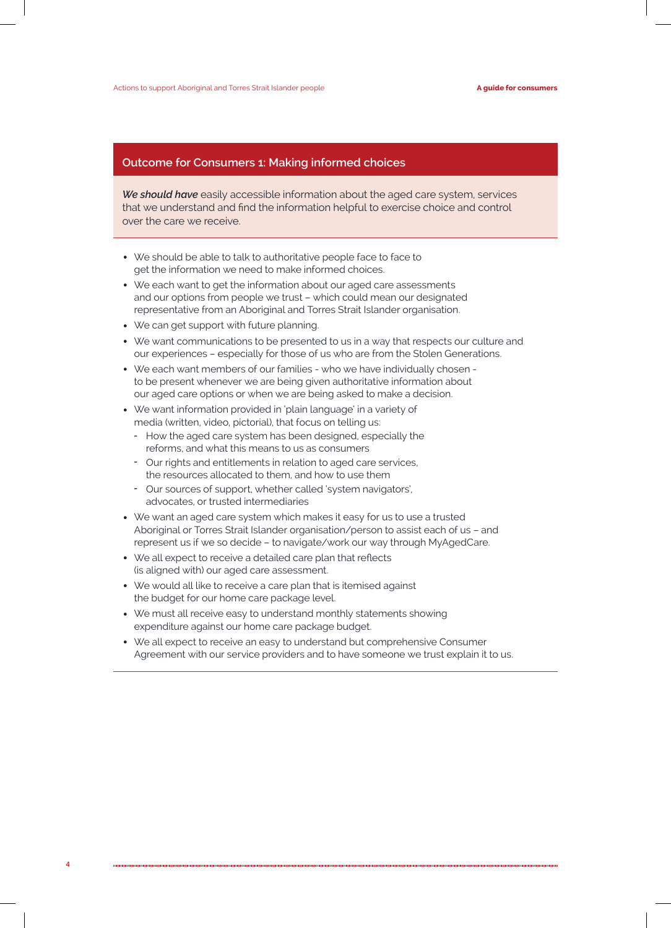#### **Outcome for Consumers 1: Making informed choices**

*We should have* easily accessible information about the aged care system, services that we understand and find the information helpful to exercise choice and control over the care we receive.

- We should be able to talk to authoritative people face to face to get the information we need to make informed choices.
- We each want to get the information about our aged care assessments and our options from people we trust – which could mean our designated representative from an Aboriginal and Torres Strait Islander organisation.
- We can get support with future planning.
- We want communications to be presented to us in a way that respects our culture and our experiences – especially for those of us who are from the Stolen Generations.
- We each want members of our families who we have individually chosen to be present whenever we are being given authoritative information about our aged care options or when we are being asked to make a decision.
- We want information provided in 'plain language' in a variety of media (written, video, pictorial), that focus on telling us:
	- How the aged care system has been designed, especially the reforms, and what this means to us as consumers
	- Our rights and entitlements in relation to aged care services, the resources allocated to them, and how to use them
	- Our sources of support, whether called 'system navigators', advocates, or trusted intermediaries
- We want an aged care system which makes it easy for us to use a trusted Aboriginal or Torres Strait Islander organisation/person to assist each of us – and represent us if we so decide – to navigate/work our way through MyAgedCare.
- We all expect to receive a detailed care plan that reflects (is aligned with) our aged care assessment.
- We would all like to receive a care plan that is itemised against the budget for our home care package level.
- We must all receive easy to understand monthly statements showing expenditure against our home care package budget.
- We all expect to receive an easy to understand but comprehensive Consumer Agreement with our service providers and to have someone we trust explain it to us.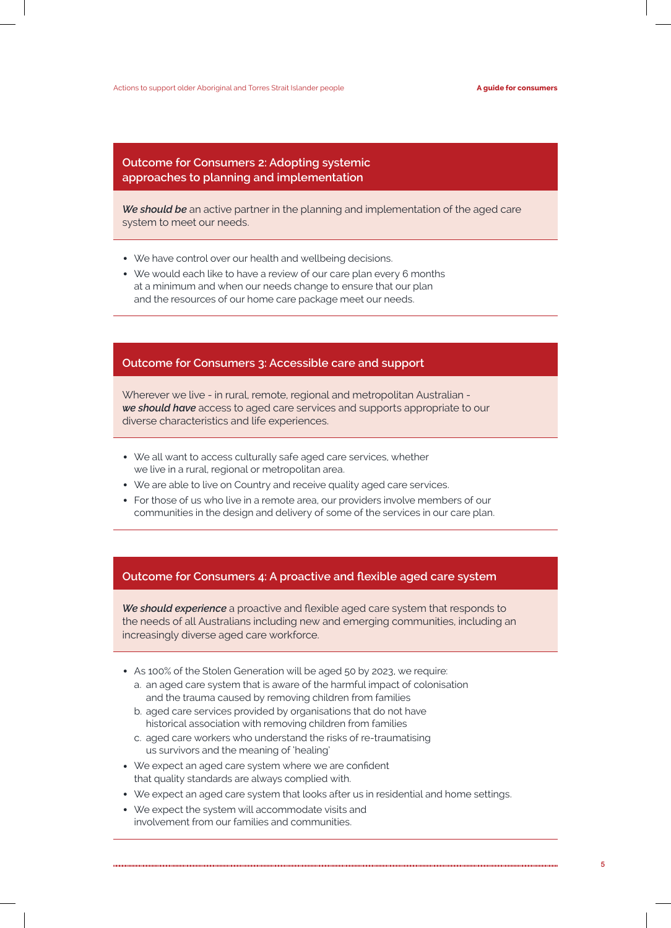#### **Outcome for Consumers 2: Adopting systemic approaches to planning and implementation**

*We should be* an active partner in the planning and implementation of the aged care system to meet our needs.

- We have control over our health and wellbeing decisions.
- We would each like to have a review of our care plan every 6 months at a minimum and when our needs change to ensure that our plan and the resources of our home care package meet our needs.

### **Outcome for Consumers 3: Accessible care and support**

Wherever we live - in rural, remote, regional and metropolitan Australian *we should have* access to aged care services and supports appropriate to our diverse characteristics and life experiences.

- We all want to access culturally safe aged care services, whether we live in a rural, regional or metropolitan area.
- We are able to live on Country and receive quality aged care services.
- For those of us who live in a remote area, our providers involve members of our communities in the design and delivery of some of the services in our care plan.

#### **Outcome for Consumers 4: A proactive and flexible aged care system**

*We should experience* a proactive and flexible aged care system that responds to the needs of all Australians including new and emerging communities, including an increasingly diverse aged care workforce.

- As 100% of the Stolen Generation will be aged 50 by 2023, we require:
	- a. an aged care system that is aware of the harmful impact of colonisation and the trauma caused by removing children from families
	- b. aged care services provided by organisations that do not have historical association with removing children from families
	- c. aged care workers who understand the risks of re-traumatising us survivors and the meaning of 'healing'
- We expect an aged care system where we are confident that quality standards are always complied with.
- We expect an aged care system that looks after us in residential and home settings.
- We expect the system will accommodate visits and involvement from our families and communities.